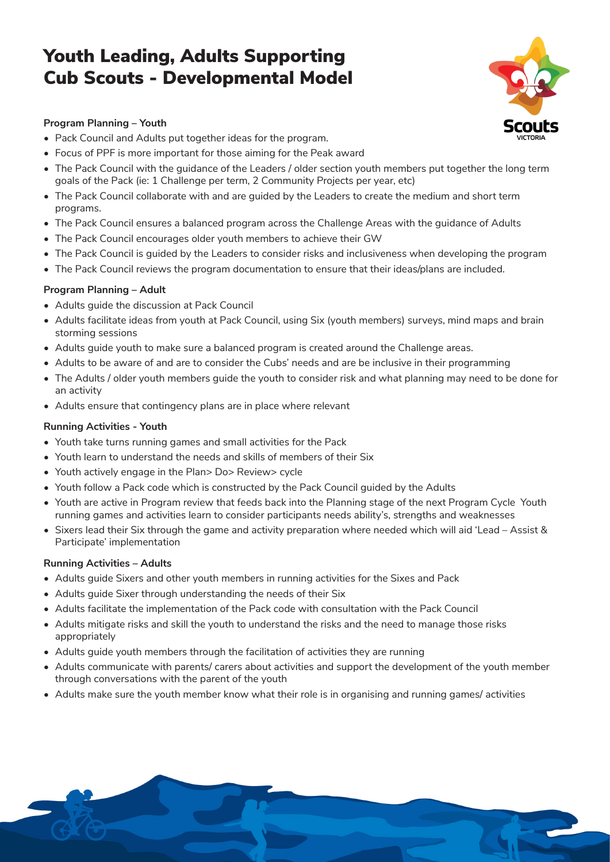## Youth Leading, Adults Supporting Cub Scouts - Developmental Model



1

### **Program Planning – Youth**

- Pack Council and Adults put together ideas for the program.
- Focus of PPF is more important for those aiming for the Peak award
- The Pack Council with the guidance of the Leaders / older section youth members put together the long term goals of the Pack (ie: 1 Challenge per term, 2 Community Projects per year, etc)
- The Pack Council collaborate with and are guided by the Leaders to create the medium and short term programs.
- The Pack Council ensures a balanced program across the Challenge Areas with the guidance of Adults
- The Pack Council encourages older youth members to achieve their GW
- The Pack Council is guided by the Leaders to consider risks and inclusiveness when developing the program
- The Pack Council reviews the program documentation to ensure that their ideas/plans are included.

#### **Program Planning – Adult**

- Adults guide the discussion at Pack Council
- Adults facilitate ideas from youth at Pack Council, using Six (youth members) surveys, mind maps and brain storming sessions
- Adults guide youth to make sure a balanced program is created around the Challenge areas.
- Adults to be aware of and are to consider the Cubs' needs and are be inclusive in their programming
- The Adults / older youth members guide the youth to consider risk and what planning may need to be done for an activity
- Adults ensure that contingency plans are in place where relevant

#### **Running Activities - Youth**

- Youth take turns running games and small activities for the Pack
- Youth learn to understand the needs and skills of members of their Six
- Youth actively engage in the Plan> Do> Review> cycle
- Youth follow a Pack code which is constructed by the Pack Council guided by the Adults
- Youth are active in Program review that feeds back into the Planning stage of the next Program Cycle Youth running games and activities learn to consider participants needs ability's, strengths and weaknesses
- Sixers lead their Six through the game and activity preparation where needed which will aid 'Lead Assist & Participate' implementation

#### **Running Activities – Adults**

- Adults guide Sixers and other youth members in running activities for the Sixes and Pack
- Adults guide Sixer through understanding the needs of their Six
- Adults facilitate the implementation of the Pack code with consultation with the Pack Council
- Adults mitigate risks and skill the youth to understand the risks and the need to manage those risks appropriately
- Adults guide youth members through the facilitation of activities they are running
- Adults communicate with parents/ carers about activities and support the development of the youth member through conversations with the parent of the youth
- Adults make sure the youth member know what their role is in organising and running games/ activities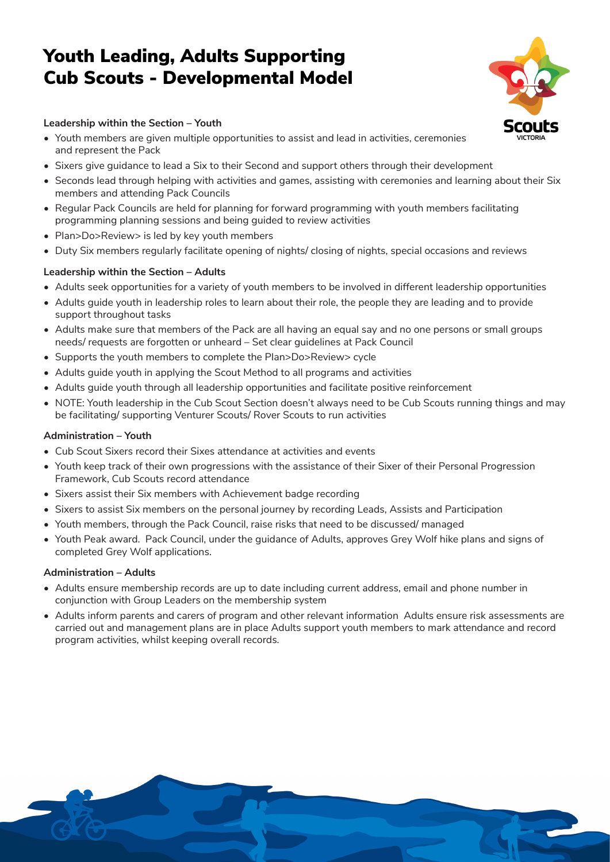## Youth Leading, Adults Supporting Cub Scouts - Developmental Model

2

#### **Leadership within the Section – Youth**

- Youth members are given multiple opportunities to assist and lead in activities, ceremonies and represent the Pack
- Sixers give guidance to lead a Six to their Second and support others through their development
- Seconds lead through helping with activities and games, assisting with ceremonies and learning about their Six members and attending Pack Councils
- Regular Pack Councils are held for planning for forward programming with youth members facilitating programming planning sessions and being guided to review activities
- Plan>Do>Review> is led by key youth members
- Duty Six members regularly facilitate opening of nights/ closing of nights, special occasions and reviews

#### **Leadership within the Section – Adults**

- Adults seek opportunities for a variety of youth members to be involved in different leadership opportunities
- Adults guide youth in leadership roles to learn about their role, the people they are leading and to provide support throughout tasks
- Adults make sure that members of the Pack are all having an equal say and no one persons or small groups needs/ requests are forgotten or unheard – Set clear guidelines at Pack Council
- Supports the youth members to complete the Plan>Do>Review> cycle
- Adults guide youth in applying the Scout Method to all programs and activities
- Adults guide youth through all leadership opportunities and facilitate positive reinforcement
- NOTE: Youth leadership in the Cub Scout Section doesn't always need to be Cub Scouts running things and may be facilitating/ supporting Venturer Scouts/ Rover Scouts to run activities

#### **Administration – Youth**

- Cub Scout Sixers record their Sixes attendance at activities and events
- Youth keep track of their own progressions with the assistance of their Sixer of their Personal Progression Framework, Cub Scouts record attendance
- Sixers assist their Six members with Achievement badge recording
- Sixers to assist Six members on the personal journey by recording Leads, Assists and Participation
- Youth members, through the Pack Council, raise risks that need to be discussed/ managed
- Youth Peak award. Pack Council, under the guidance of Adults, approves Grey Wolf hike plans and signs of completed Grey Wolf applications.

#### **Administration – Adults**

- Adults ensure membership records are up to date including current address, email and phone number in conjunction with Group Leaders on the membership system
- Adults inform parents and carers of program and other relevant information Adults ensure risk assessments are carried out and management plans are in place Adults support youth members to mark attendance and record program activities, whilst keeping overall records.